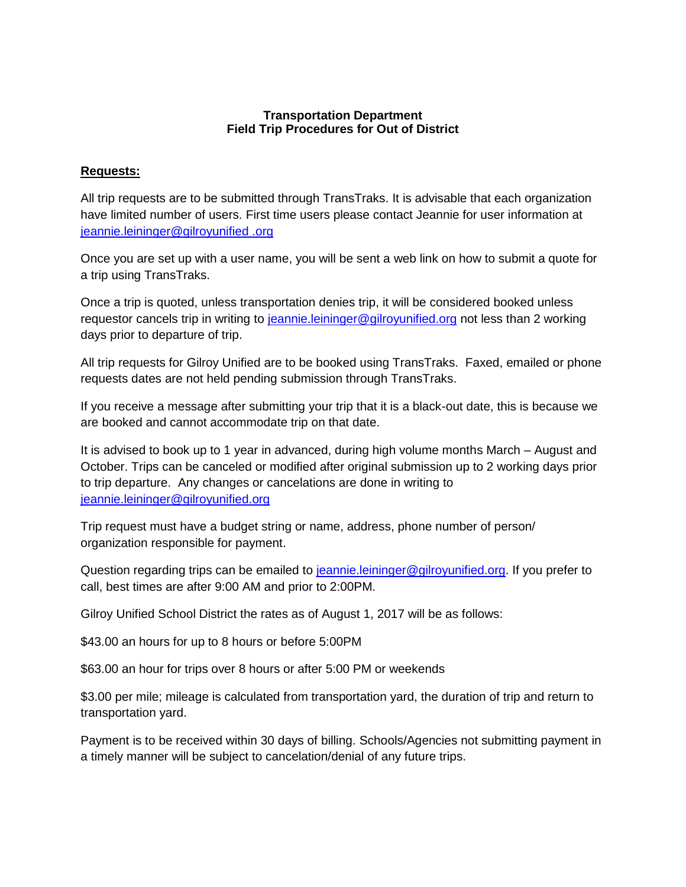### **Transportation Department Field Trip Procedures for Out of District**

### **Requests:**

All trip requests are to be submitted through TransTraks. It is advisable that each organization have limited number of users. First time users please contact Jeannie for user information at [jeannie.leininger@gilroyunified .org](file:///C:/Users/lhuerta/Downloads/jeannie.leininger@gilroyunified%20.org) 

Once you are set up with a user name, you will be sent a web link on how to submit a quote for a trip using TransTraks.

Once a trip is quoted, unless transportation denies trip, it will be considered booked unless requestor cancels trip in writing to [jeannie.leininger@gilroyunified.org](file:///C:/Users/lhuerta/Downloads/jeannie.leininger@gilroyunified.org) not less than 2 working days prior to departure of trip.

All trip requests for Gilroy Unified are to be booked using TransTraks. Faxed, emailed or phone requests dates are not held pending submission through TransTraks.

If you receive a message after submitting your trip that it is a black-out date, this is because we are booked and cannot accommodate trip on that date.

It is advised to book up to 1 year in advanced, during high volume months March – August and October. Trips can be canceled or modified after original submission up to 2 working days prior to trip departure. Any changes or cancelations are done in writing to [jeannie.leininger@gilroyunified.org](mailto:jeannie.leininger@gilroyunified.org)

Trip request must have a budget string or name, address, phone number of person/ organization responsible for payment.

Question regarding trips can be emailed to [jeannie.leininger@gilroyunified.org.](file:///C:/Users/lhuerta/Downloads/jeannie.leininger@gilroyunified.org) If you prefer to call, best times are after 9:00 AM and prior to 2:00PM.

Gilroy Unified School District the rates as of August 1, 2017 will be as follows:

\$43.00 an hours for up to 8 hours or before 5:00PM

\$63.00 an hour for trips over 8 hours or after 5:00 PM or weekends

\$3.00 per mile; mileage is calculated from transportation yard, the duration of trip and return to transportation yard.

Payment is to be received within 30 days of billing. Schools/Agencies not submitting payment in a timely manner will be subject to cancelation/denial of any future trips.